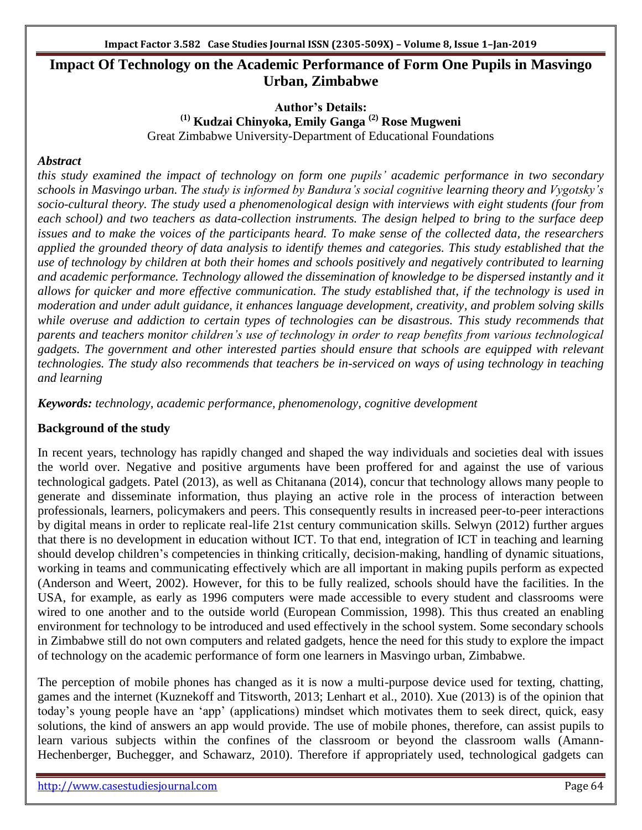# **Impact Of Technology on the Academic Performance of Form One Pupils in Masvingo Urban, Zimbabwe**

**Author's Details: (1) Kudzai Chinyoka, Emily Ganga (2) Rose Mugweni**  Great Zimbabwe University-Department of Educational Foundations

# *Abstract*

*this study examined the impact of technology on form one pupils" academic performance in two secondary schools in Masvingo urban. The study is informed by Bandura"s social cognitive learning theory and Vygotsky"s socio-cultural theory. The study used a phenomenological design with interviews with eight students (four from each school) and two teachers as data-collection instruments. The design helped to bring to the surface deep issues and to make the voices of the participants heard. To make sense of the collected data, the researchers applied the grounded theory of data analysis to identify themes and categories. This study established that the use of technology by children at both their homes and schools positively and negatively contributed to learning and academic performance. Technology allowed the dissemination of knowledge to be dispersed instantly and it allows for quicker and more effective communication. The study established that, if the technology is used in moderation and under adult guidance, it enhances language development, creativity, and problem solving skills while overuse and addiction to certain types of technologies can be disastrous. This study recommends that parents and teachers monitor children"s use of technology in order to reap benefits from various technological gadgets. The government and other interested parties should ensure that schools are equipped with relevant technologies. The study also recommends that teachers be in-serviced on ways of using technology in teaching and learning*

*Keywords: technology, academic performance, phenomenology, cognitive development*

# **Background of the study**

In recent years, technology has rapidly changed and shaped the way individuals and societies deal with issues the world over. Negative and positive arguments have been proffered for and against the use of various technological gadgets. Patel (2013), as well as Chitanana (2014), concur that technology allows many people to generate and disseminate information, thus playing an active role in the process of interaction between professionals, learners, policymakers and peers. This consequently results in increased peer-to-peer interactions by digital means in order to replicate real-life 21st century communication skills. Selwyn (2012) further argues that there is no development in education without ICT. To that end, integration of ICT in teaching and learning should develop children's competencies in thinking critically, decision-making, handling of dynamic situations, working in teams and communicating effectively which are all important in making pupils perform as expected (Anderson and Weert, 2002). However, for this to be fully realized, schools should have the facilities. In the USA, for example, as early as 1996 computers were made accessible to every student and classrooms were wired to one another and to the outside world (European Commission, 1998). This thus created an enabling environment for technology to be introduced and used effectively in the school system. Some secondary schools in Zimbabwe still do not own computers and related gadgets, hence the need for this study to explore the impact of technology on the academic performance of form one learners in Masvingo urban, Zimbabwe.

The perception of mobile phones has changed as it is now a multi-purpose device used for texting, chatting, games and the internet (Kuznekoff and Titsworth, 2013; Lenhart et al., 2010). Xue (2013) is of the opinion that today's young people have an 'app' (applications) mindset which motivates them to seek direct, quick, easy solutions, the kind of answers an app would provide. The use of mobile phones, therefore, can assist pupils to learn various subjects within the confines of the classroom or beyond the classroom walls (Amann-Hechenberger, Buchegger, and Schawarz, 2010). Therefore if appropriately used, technological gadgets can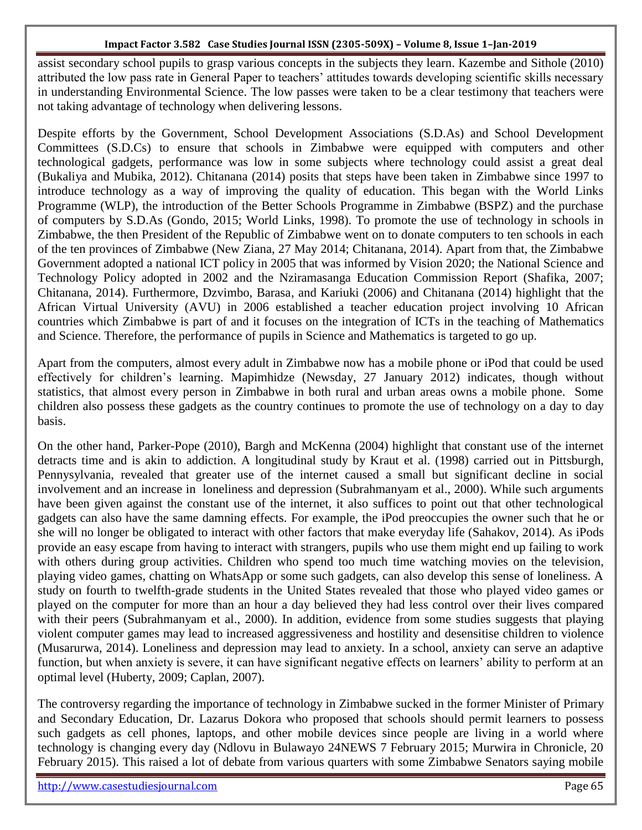assist secondary school pupils to grasp various concepts in the subjects they learn. Kazembe and Sithole (2010) attributed the low pass rate in General Paper to teachers' attitudes towards developing scientific skills necessary in understanding Environmental Science. The low passes were taken to be a clear testimony that teachers were not taking advantage of technology when delivering lessons.

Despite efforts by the Government, School Development Associations (S.D.As) and School Development Committees (S.D.Cs) to ensure that schools in Zimbabwe were equipped with computers and other technological gadgets, performance was low in some subjects where technology could assist a great deal (Bukaliya and Mubika, 2012). Chitanana (2014) posits that steps have been taken in Zimbabwe since 1997 to introduce technology as a way of improving the quality of education. This began with the World Links Programme (WLP), the introduction of the Better Schools Programme in Zimbabwe (BSPZ) and the purchase of computers by S.D.As (Gondo, 2015; World Links, 1998). To promote the use of technology in schools in Zimbabwe, the then President of the Republic of Zimbabwe went on to donate computers to ten schools in each of the ten provinces of Zimbabwe (New Ziana, 27 May 2014; Chitanana, 2014). Apart from that, the Zimbabwe Government adopted a national ICT policy in 2005 that was informed by Vision 2020; the National Science and Technology Policy adopted in 2002 and the Nziramasanga Education Commission Report (Shafika, 2007; Chitanana, 2014). Furthermore, Dzvimbo, Barasa, and Kariuki (2006) and Chitanana (2014) highlight that the African Virtual University (AVU) in 2006 established a teacher education project involving 10 African countries which Zimbabwe is part of and it focuses on the integration of ICTs in the teaching of Mathematics and Science. Therefore, the performance of pupils in Science and Mathematics is targeted to go up.

Apart from the computers, almost every adult in Zimbabwe now has a mobile phone or iPod that could be used effectively for children's learning. Mapimhidze (Newsday, 27 January 2012) indicates, though without statistics, that almost every person in Zimbabwe in both rural and urban areas owns a mobile phone. Some children also possess these gadgets as the country continues to promote the use of technology on a day to day basis.

On the other hand, Parker-Pope (2010), Bargh and McKenna (2004) highlight that constant use of the internet detracts time and is akin to addiction. A longitudinal study by Kraut et al. (1998) carried out in Pittsburgh, Pennysylvania, revealed that greater use of the internet caused a small but significant decline in social involvement and an increase in loneliness and depression (Subrahmanyam et al., 2000). While such arguments have been given against the constant use of the internet, it also suffices to point out that other technological gadgets can also have the same damning effects. For example, the iPod preoccupies the owner such that he or she will no longer be obligated to interact with other factors that make everyday life (Sahakov, 2014). As iPods provide an easy escape from having to interact with strangers, pupils who use them might end up failing to work with others during group activities. Children who spend too much time watching movies on the television, playing video games, chatting on WhatsApp or some such gadgets, can also develop this sense of loneliness. A study on fourth to twelfth-grade students in the United States revealed that those who played video games or played on the computer for more than an hour a day believed they had less control over their lives compared with their peers (Subrahmanyam et al., 2000). In addition, evidence from some studies suggests that playing violent computer games may lead to increased aggressiveness and hostility and desensitise children to violence (Musarurwa, 2014). Loneliness and depression may lead to anxiety. In a school, anxiety can serve an adaptive function, but when anxiety is severe, it can have significant negative effects on learners' ability to perform at an optimal level (Huberty, 2009; Caplan, 2007).

The controversy regarding the importance of technology in Zimbabwe sucked in the former Minister of Primary and Secondary Education, Dr. Lazarus Dokora who proposed that schools should permit learners to possess such gadgets as cell phones, laptops, and other mobile devices since people are living in a world where technology is changing every day (Ndlovu in Bulawayo 24NEWS 7 February 2015; Murwira in Chronicle, 20 February 2015). This raised a lot of debate from various quarters with some Zimbabwe Senators saying mobile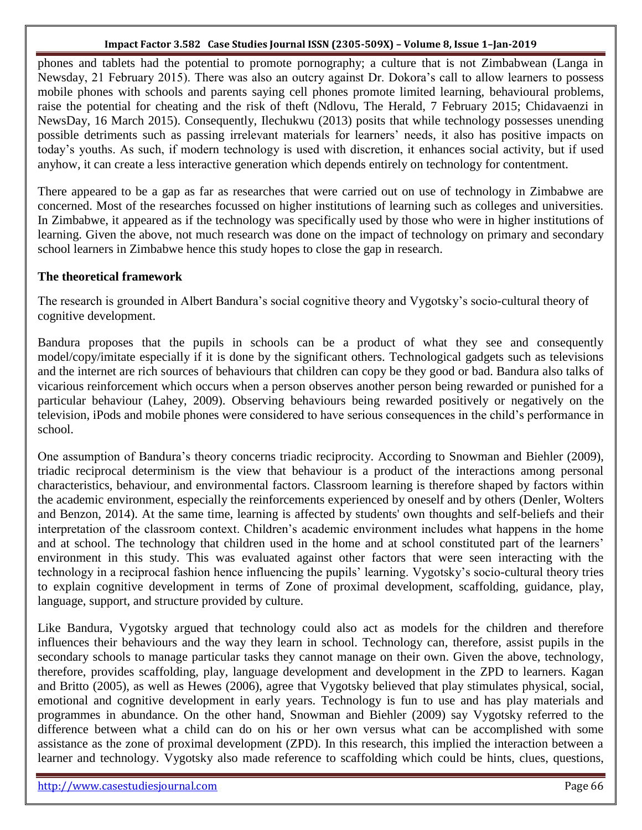phones and tablets had the potential to promote pornography; a culture that is not Zimbabwean (Langa in Newsday, 21 February 2015). There was also an outcry against Dr. Dokora's call to allow learners to possess mobile phones with schools and parents saying cell phones promote limited learning, behavioural problems, raise the potential for cheating and the risk of theft (Ndlovu, The Herald, 7 February 2015; Chidavaenzi in NewsDay, 16 March 2015). Consequently, Ilechukwu (2013) posits that while technology possesses unending possible detriments such as passing irrelevant materials for learners' needs, it also has positive impacts on today's youths. As such, if modern technology is used with discretion, it enhances social activity, but if used anyhow, it can create a less interactive generation which depends entirely on technology for contentment.

There appeared to be a gap as far as researches that were carried out on use of technology in Zimbabwe are concerned. Most of the researches focussed on higher institutions of learning such as colleges and universities. In Zimbabwe, it appeared as if the technology was specifically used by those who were in higher institutions of learning. Given the above, not much research was done on the impact of technology on primary and secondary school learners in Zimbabwe hence this study hopes to close the gap in research.

# **The theoretical framework**

The research is grounded in Albert Bandura's social cognitive theory and Vygotsky's socio-cultural theory of cognitive development.

Bandura proposes that the pupils in schools can be a product of what they see and consequently model/copy/imitate especially if it is done by the significant others. Technological gadgets such as televisions and the internet are rich sources of behaviours that children can copy be they good or bad. Bandura also talks of vicarious reinforcement which occurs when a person observes another person being rewarded or punished for a particular behaviour (Lahey, 2009). Observing behaviours being rewarded positively or negatively on the television, iPods and mobile phones were considered to have serious consequences in the child's performance in school.

One assumption of Bandura's theory concerns triadic reciprocity. According to Snowman and Biehler (2009), triadic reciprocal determinism is the view that behaviour is a product of the interactions among personal characteristics, behaviour, and environmental factors. Classroom learning is therefore shaped by factors within the academic environment, especially the reinforcements experienced by oneself and by others (Denler, Wolters and Benzon, 2014). At the same time, learning is affected by students' own thoughts and self-beliefs and their interpretation of the classroom context. Children's academic environment includes what happens in the home and at school. The technology that children used in the home and at school constituted part of the learners' environment in this study. This was evaluated against other factors that were seen interacting with the technology in a reciprocal fashion hence influencing the pupils' learning. Vygotsky's socio-cultural theory tries to explain cognitive development in terms of Zone of proximal development, scaffolding, guidance, play, language, support, and structure provided by culture.

Like Bandura, Vygotsky argued that technology could also act as models for the children and therefore influences their behaviours and the way they learn in school. Technology can, therefore, assist pupils in the secondary schools to manage particular tasks they cannot manage on their own. Given the above, technology, therefore, provides scaffolding, play, language development and development in the ZPD to learners. Kagan and Britto (2005), as well as Hewes (2006), agree that Vygotsky believed that play stimulates physical, social, emotional and cognitive development in early years. Technology is fun to use and has play materials and programmes in abundance. On the other hand, Snowman and Biehler (2009) say Vygotsky referred to the difference between what a child can do on his or her own versus what can be accomplished with some assistance as the zone of proximal development (ZPD). In this research, this implied the interaction between a learner and technology. Vygotsky also made reference to scaffolding which could be hints, clues, questions,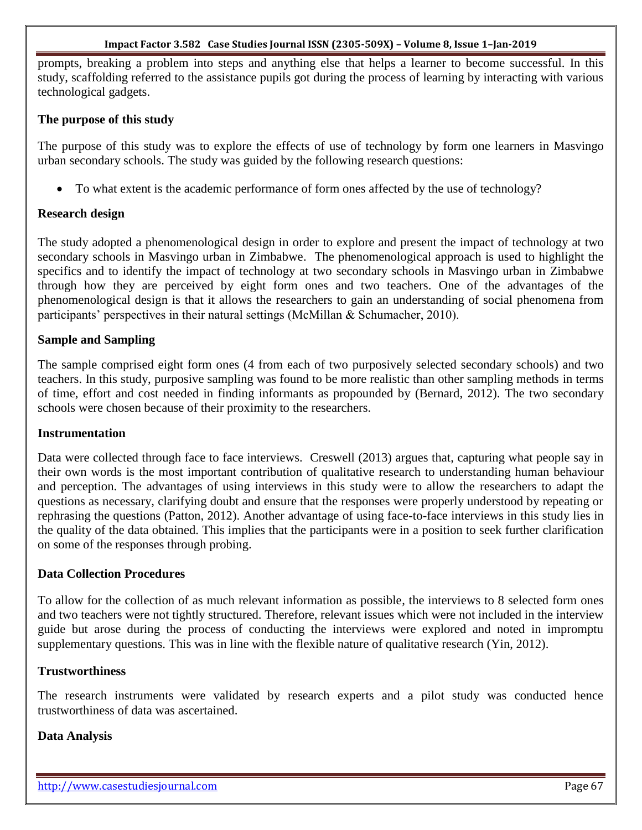prompts, breaking a problem into steps and anything else that helps a learner to become successful. In this study, scaffolding referred to the assistance pupils got during the process of learning by interacting with various technological gadgets.

### **The purpose of this study**

The purpose of this study was to explore the effects of use of technology by form one learners in Masvingo urban secondary schools. The study was guided by the following research questions:

• To what extent is the academic performance of form ones affected by the use of technology?

### **Research design**

The study adopted a phenomenological design in order to explore and present the impact of technology at two secondary schools in Masvingo urban in Zimbabwe.The phenomenological approach is used to highlight the specifics and to identify the impact of technology at two secondary schools in Masvingo urban in Zimbabwe through how they are perceived by eight form ones and two teachers. One of the advantages of the phenomenological design is that it allows the researchers to gain an understanding of social phenomena from participants' perspectives in their natural settings (McMillan & Schumacher, 2010).

### **Sample and Sampling**

The sample comprised eight form ones (4 from each of two purposively selected secondary schools) and two teachers. In this study, purposive sampling was found to be more realistic than other sampling methods in terms of time, effort and cost needed in finding informants as propounded by (Bernard, 2012). The two secondary schools were chosen because of their proximity to the researchers.

### **Instrumentation**

Data were collected through face to face interviews. Creswell (2013) argues that, capturing what people say in their own words is the most important contribution of qualitative research to understanding human behaviour and perception. The advantages of using interviews in this study were to allow the researchers to adapt the questions as necessary, clarifying doubt and ensure that the responses were properly understood by repeating or rephrasing the questions (Patton, 2012). Another advantage of using face-to-face interviews in this study lies in the quality of the data obtained. This implies that the participants were in a position to seek further clarification on some of the responses through probing.

### **Data Collection Procedures**

To allow for the collection of as much relevant information as possible, the interviews to 8 selected form ones and two teachers were not tightly structured. Therefore, relevant issues which were not included in the interview guide but arose during the process of conducting the interviews were explored and noted in impromptu supplementary questions. This was in line with the flexible nature of qualitative research (Yin, 2012).

### **Trustworthiness**

The research instruments were validated by research experts and a pilot study was conducted hence trustworthiness of data was ascertained.

#### **Data Analysis**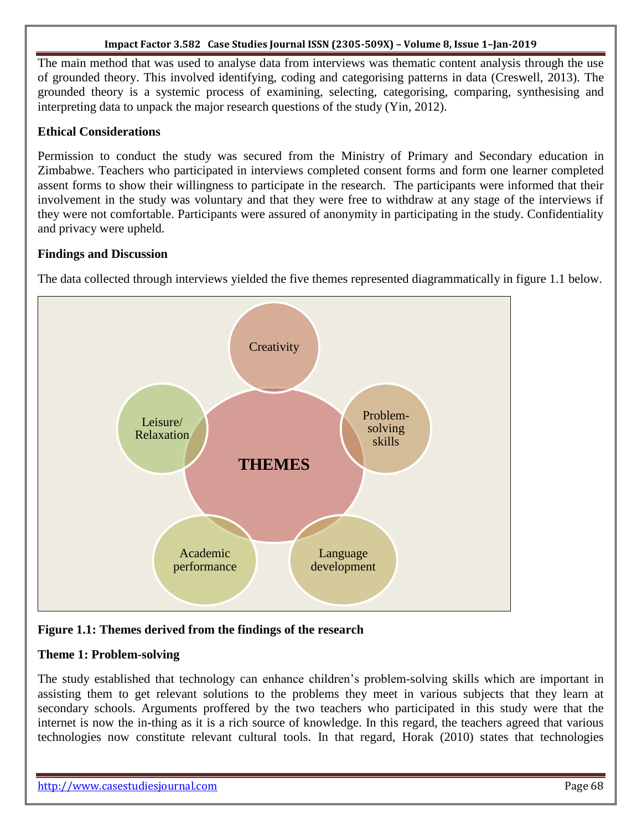The main method that was used to analyse data from interviews was thematic content analysis through the use of grounded theory. This involved identifying, coding and categorising patterns in data (Creswell, 2013). The grounded theory is a systemic process of examining, selecting, categorising, comparing, synthesising and interpreting data to unpack the major research questions of the study (Yin, 2012).

# **Ethical Considerations**

Permission to conduct the study was secured from the Ministry of Primary and Secondary education in Zimbabwe. Teachers who participated in interviews completed consent forms and form one learner completed assent forms to show their willingness to participate in the research. The participants were informed that their involvement in the study was voluntary and that they were free to withdraw at any stage of the interviews if they were not comfortable. Participants were assured of anonymity in participating in the study. Confidentiality and privacy were upheld.

# **Findings and Discussion**

The data collected through interviews yielded the five themes represented diagrammatically in figure 1.1 below.



# **Figure 1.1: Themes derived from the findings of the research**

# **Theme 1: Problem-solving**

The study established that technology can enhance children's problem-solving skills which are important in assisting them to get relevant solutions to the problems they meet in various subjects that they learn at secondary schools. Arguments proffered by the two teachers who participated in this study were that the internet is now the in-thing as it is a rich source of knowledge. In this regard, the teachers agreed that various technologies now constitute relevant cultural tools. In that regard, Horak (2010) states that technologies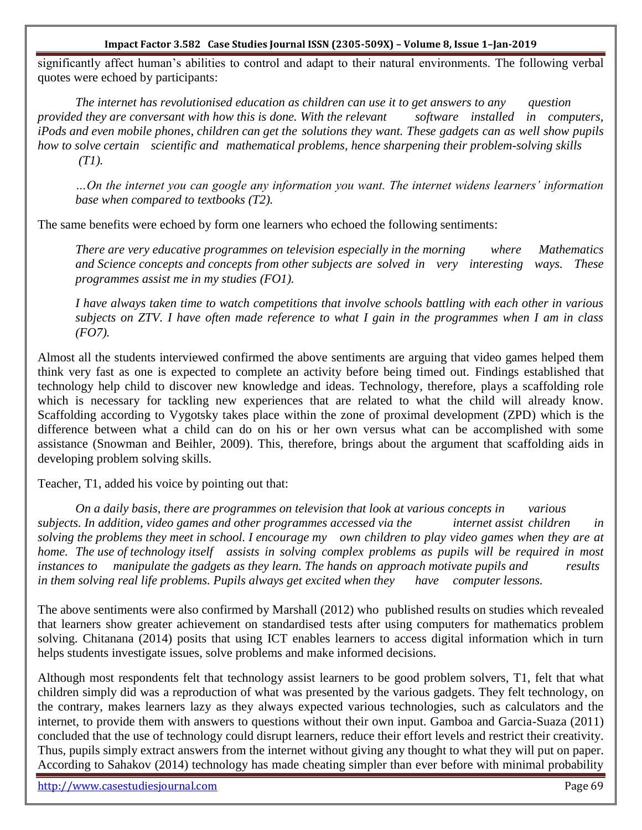significantly affect human's abilities to control and adapt to their natural environments. The following verbal quotes were echoed by participants:

*The internet has revolutionised education as children can use it to get answers to any question provided they are conversant with how this is done. With the relevant software installed in computers, iPods and even mobile phones, children can get the solutions they want. These gadgets can as well show pupils how to solve certain scientific and mathematical problems, hence sharpening their problem-solving skills (T1).*

*…On the internet you can google any information you want. The internet widens learners" information base when compared to textbooks (T2).*

The same benefits were echoed by form one learners who echoed the following sentiments:

*There are very educative programmes on television especially in the morning where Mathematics and Science concepts and concepts from other subjects are solved in very interesting ways. These programmes assist me in my studies (FO1).*

*I have always taken time to watch competitions that involve schools battling with each other in various subjects on ZTV. I have often made reference to what I gain in the programmes when I am in class (FO7).* 

Almost all the students interviewed confirmed the above sentiments are arguing that video games helped them think very fast as one is expected to complete an activity before being timed out. Findings established that technology help child to discover new knowledge and ideas. Technology, therefore, plays a scaffolding role which is necessary for tackling new experiences that are related to what the child will already know. Scaffolding according to Vygotsky takes place within the zone of proximal development (ZPD) which is the difference between what a child can do on his or her own versus what can be accomplished with some assistance (Snowman and Beihler, 2009). This, therefore, brings about the argument that scaffolding aids in developing problem solving skills.

Teacher, T1, added his voice by pointing out that:

*On a daily basis, there are programmes on television that look at various concepts in various subjects. In addition, video games and other programmes accessed via the internet assist children in solving the problems they meet in school. I encourage my own children to play video games when they are at home. The use of technology itself assists in solving complex problems as pupils will be required in most instances to manipulate the gadgets as they learn. The hands on approach motivate pupils and results in them solving real life problems. Pupils always get excited when they have computer lessons.*

The above sentiments were also confirmed by Marshall (2012) who published results on studies which revealed that learners show greater achievement on standardised tests after using computers for mathematics problem solving. Chitanana (2014) posits that using ICT enables learners to access digital information which in turn helps students investigate issues, solve problems and make informed decisions.

Although most respondents felt that technology assist learners to be good problem solvers, T1, felt that what children simply did was a reproduction of what was presented by the various gadgets. They felt technology, on the contrary, makes learners lazy as they always expected various technologies, such as calculators and the internet, to provide them with answers to questions without their own input. Gamboa and Garcia-Suaza (2011) concluded that the use of technology could disrupt learners, reduce their effort levels and restrict their creativity. Thus, pupils simply extract answers from the internet without giving any thought to what they will put on paper. According to Sahakov (2014) technology has made cheating simpler than ever before with minimal probability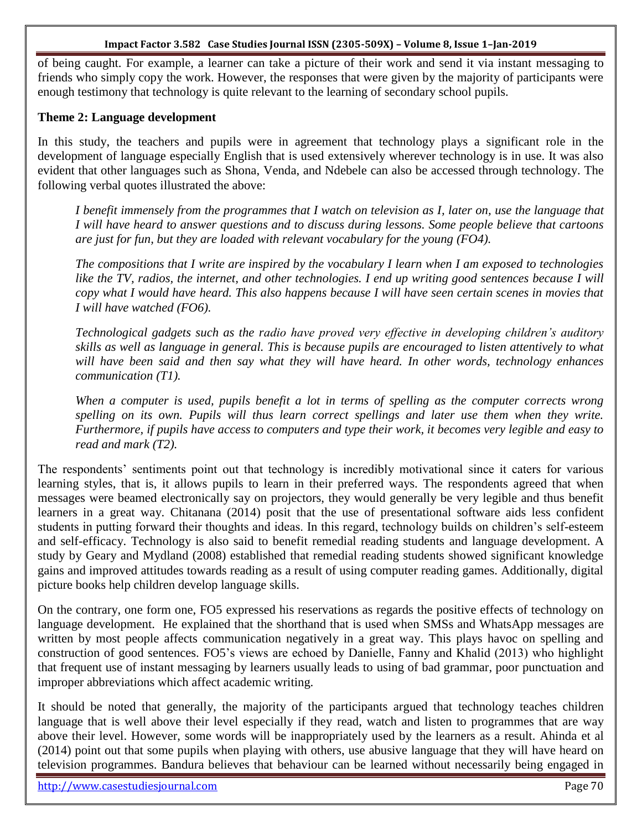of being caught. For example, a learner can take a picture of their work and send it via instant messaging to friends who simply copy the work. However, the responses that were given by the majority of participants were enough testimony that technology is quite relevant to the learning of secondary school pupils.

### **Theme 2: Language development**

In this study, the teachers and pupils were in agreement that technology plays a significant role in the development of language especially English that is used extensively wherever technology is in use. It was also evident that other languages such as Shona, Venda, and Ndebele can also be accessed through technology. The following verbal quotes illustrated the above:

*I benefit immensely from the programmes that I watch on television as I, later on, use the language that I will have heard to answer questions and to discuss during lessons. Some people believe that cartoons are just for fun, but they are loaded with relevant vocabulary for the young (FO4).*

*The compositions that I write are inspired by the vocabulary I learn when I am exposed to technologies like the TV, radios, the internet, and other technologies. I end up writing good sentences because I will copy what I would have heard. This also happens because I will have seen certain scenes in movies that I will have watched (FO6).*

*Technological gadgets such as the radio have proved very effective in developing children"s auditory skills as well as language in general. This is because pupils are encouraged to listen attentively to what will have been said and then say what they will have heard. In other words, technology enhances communication (T1).*

*When a computer is used, pupils benefit a lot in terms of spelling as the computer corrects wrong spelling on its own. Pupils will thus learn correct spellings and later use them when they write. Furthermore, if pupils have access to computers and type their work, it becomes very legible and easy to read and mark (T2).*

The respondents' sentiments point out that technology is incredibly motivational since it caters for various learning styles, that is, it allows pupils to learn in their preferred ways. The respondents agreed that when messages were beamed electronically say on projectors, they would generally be very legible and thus benefit learners in a great way. Chitanana (2014) posit that the use of presentational software aids less confident students in putting forward their thoughts and ideas. In this regard, technology builds on children's self-esteem and self-efficacy. Technology is also said to benefit remedial reading students and language development. A study by Geary and Mydland (2008) established that remedial reading students showed significant knowledge gains and improved attitudes towards reading as a result of using computer reading games. Additionally, digital picture books help children develop language skills.

On the contrary, one form one, FO5 expressed his reservations as regards the positive effects of technology on language development. He explained that the shorthand that is used when SMSs and WhatsApp messages are written by most people affects communication negatively in a great way. This plays havoc on spelling and construction of good sentences. FO5's views are echoed by Danielle, Fanny and Khalid (2013) who highlight that frequent use of instant messaging by learners usually leads to using of bad grammar, poor punctuation and improper abbreviations which affect academic writing.

It should be noted that generally, the majority of the participants argued that technology teaches children language that is well above their level especially if they read, watch and listen to programmes that are way above their level. However, some words will be inappropriately used by the learners as a result. Ahinda et al (2014) point out that some pupils when playing with others, use abusive language that they will have heard on television programmes. Bandura believes that behaviour can be learned without necessarily being engaged in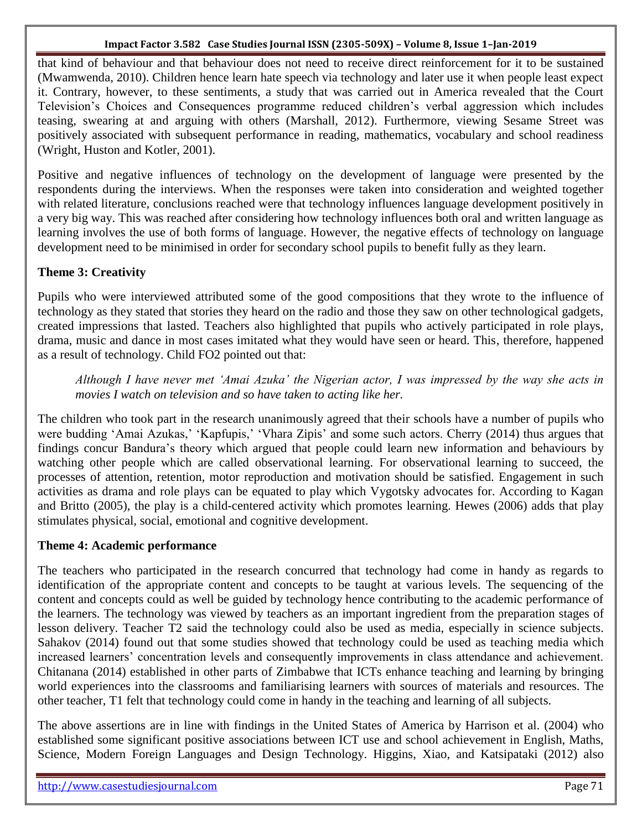that kind of behaviour and that behaviour does not need to receive direct reinforcement for it to be sustained (Mwamwenda, 2010). Children hence learn hate speech via technology and later use it when people least expect it. Contrary, however, to these sentiments, a study that was carried out in America revealed that the Court Television's Choices and Consequences programme reduced children's verbal aggression which includes teasing, swearing at and arguing with others (Marshall, 2012). Furthermore, viewing Sesame Street was positively associated with subsequent performance in reading, mathematics, vocabulary and school readiness (Wright, Huston and Kotler, 2001).

Positive and negative influences of technology on the development of language were presented by the respondents during the interviews. When the responses were taken into consideration and weighted together with related literature, conclusions reached were that technology influences language development positively in a very big way. This was reached after considering how technology influences both oral and written language as learning involves the use of both forms of language. However, the negative effects of technology on language development need to be minimised in order for secondary school pupils to benefit fully as they learn.

# **Theme 3: Creativity**

Pupils who were interviewed attributed some of the good compositions that they wrote to the influence of technology as they stated that stories they heard on the radio and those they saw on other technological gadgets, created impressions that lasted. Teachers also highlighted that pupils who actively participated in role plays, drama, music and dance in most cases imitated what they would have seen or heard. This, therefore, happened as a result of technology. Child FO2 pointed out that:

*Although I have never met "Amai Azuka" the Nigerian actor, I was impressed by the way she acts in movies I watch on television and so have taken to acting like her.*

The children who took part in the research unanimously agreed that their schools have a number of pupils who were budding 'Amai Azukas,' 'Kapfupis,' 'Vhara Zipis' and some such actors. Cherry (2014) thus argues that findings concur Bandura's theory which argued that people could learn new information and behaviours by watching other people which are called observational learning. For observational learning to succeed, the processes of attention, retention, motor reproduction and motivation should be satisfied. Engagement in such activities as drama and role plays can be equated to play which Vygotsky advocates for. According to Kagan and Britto (2005), the play is a child-centered activity which promotes learning. Hewes (2006) adds that play stimulates physical, social, emotional and cognitive development.

### **Theme 4: Academic performance**

The teachers who participated in the research concurred that technology had come in handy as regards to identification of the appropriate content and concepts to be taught at various levels. The sequencing of the content and concepts could as well be guided by technology hence contributing to the academic performance of the learners. The technology was viewed by teachers as an important ingredient from the preparation stages of lesson delivery. Teacher T2 said the technology could also be used as media, especially in science subjects. Sahakov (2014) found out that some studies showed that technology could be used as teaching media which increased learners' concentration levels and consequently improvements in class attendance and achievement. Chitanana (2014) established in other parts of Zimbabwe that ICTs enhance teaching and learning by bringing world experiences into the classrooms and familiarising learners with sources of materials and resources. The other teacher, T1 felt that technology could come in handy in the teaching and learning of all subjects.

The above assertions are in line with findings in the United States of America by Harrison et al. (2004) who established some significant positive associations between ICT use and school achievement in English, Maths, Science, Modern Foreign Languages and Design Technology. Higgins, Xiao, and Katsipataki (2012) also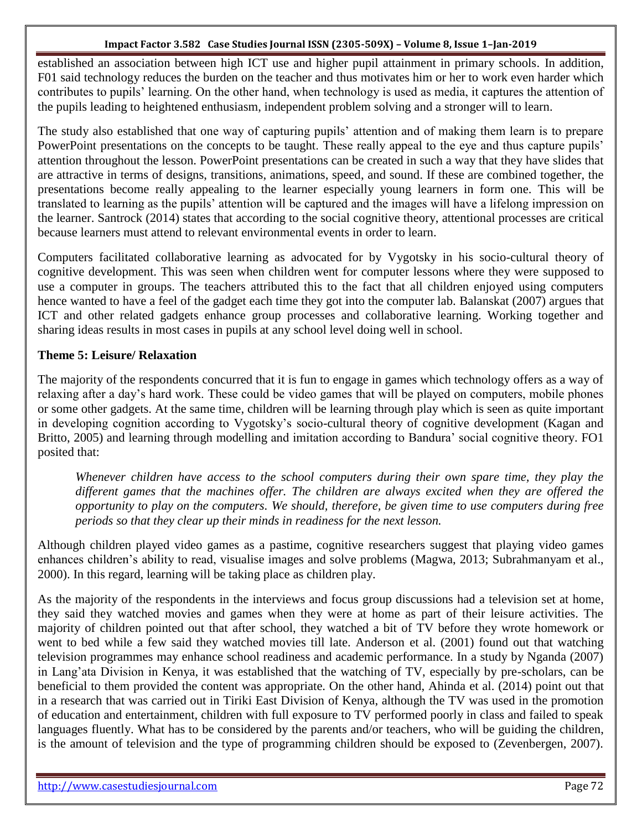established an association between high ICT use and higher pupil attainment in primary schools. In addition, F01 said technology reduces the burden on the teacher and thus motivates him or her to work even harder which contributes to pupils' learning. On the other hand, when technology is used as media, it captures the attention of the pupils leading to heightened enthusiasm, independent problem solving and a stronger will to learn.

The study also established that one way of capturing pupils' attention and of making them learn is to prepare PowerPoint presentations on the concepts to be taught. These really appeal to the eye and thus capture pupils' attention throughout the lesson. PowerPoint presentations can be created in such a way that they have slides that are attractive in terms of designs, transitions, animations, speed, and sound. If these are combined together, the presentations become really appealing to the learner especially young learners in form one. This will be translated to learning as the pupils' attention will be captured and the images will have a lifelong impression on the learner. Santrock (2014) states that according to the social cognitive theory, attentional processes are critical because learners must attend to relevant environmental events in order to learn.

Computers facilitated collaborative learning as advocated for by Vygotsky in his socio-cultural theory of cognitive development. This was seen when children went for computer lessons where they were supposed to use a computer in groups. The teachers attributed this to the fact that all children enjoyed using computers hence wanted to have a feel of the gadget each time they got into the computer lab. Balanskat (2007) argues that ICT and other related gadgets enhance group processes and collaborative learning. Working together and sharing ideas results in most cases in pupils at any school level doing well in school.

# **Theme 5: Leisure/ Relaxation**

The majority of the respondents concurred that it is fun to engage in games which technology offers as a way of relaxing after a day's hard work. These could be video games that will be played on computers, mobile phones or some other gadgets. At the same time, children will be learning through play which is seen as quite important in developing cognition according to Vygotsky's socio-cultural theory of cognitive development (Kagan and Britto, 2005) and learning through modelling and imitation according to Bandura' social cognitive theory. FO1 posited that:

*Whenever children have access to the school computers during their own spare time, they play the different games that the machines offer. The children are always excited when they are offered the opportunity to play on the computers. We should, therefore, be given time to use computers during free periods so that they clear up their minds in readiness for the next lesson.*

Although children played video games as a pastime, cognitive researchers suggest that playing video games enhances children's ability to read, visualise images and solve problems (Magwa, 2013; Subrahmanyam et al., 2000). In this regard, learning will be taking place as children play.

As the majority of the respondents in the interviews and focus group discussions had a television set at home, they said they watched movies and games when they were at home as part of their leisure activities. The majority of children pointed out that after school, they watched a bit of TV before they wrote homework or went to bed while a few said they watched movies till late. Anderson et al. (2001) found out that watching television programmes may enhance school readiness and academic performance. In a study by Nganda (2007) in Lang'ata Division in Kenya, it was established that the watching of TV, especially by pre-scholars, can be beneficial to them provided the content was appropriate. On the other hand, Ahinda et al. (2014) point out that in a research that was carried out in Tiriki East Division of Kenya, although the TV was used in the promotion of education and entertainment, children with full exposure to TV performed poorly in class and failed to speak languages fluently. What has to be considered by the parents and/or teachers, who will be guiding the children, is the amount of television and the type of programming children should be exposed to (Zevenbergen, 2007).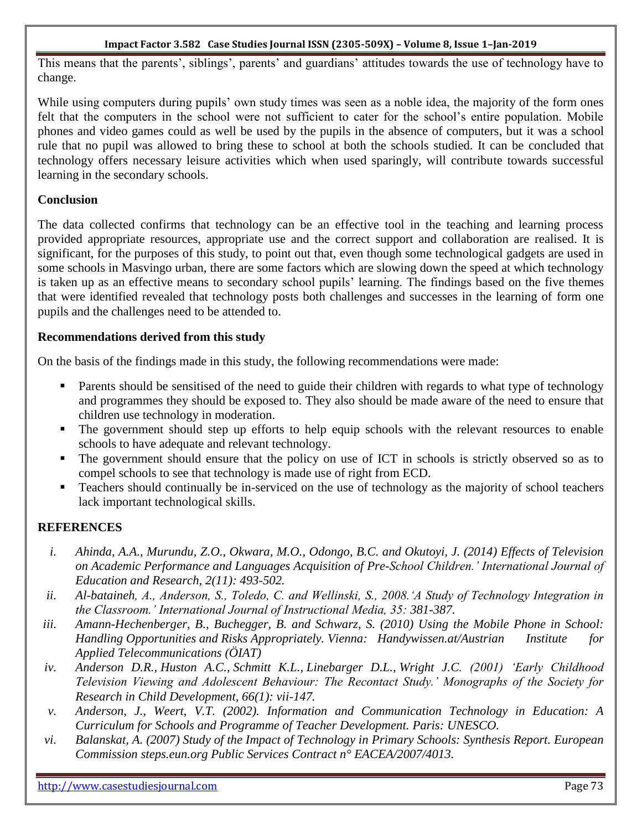This means that the parents', siblings', parents' and guardians' attitudes towards the use of technology have to change.

While using computers during pupils' own study times was seen as a noble idea, the majority of the form ones felt that the computers in the school were not sufficient to cater for the school's entire population. Mobile phones and video games could as well be used by the pupils in the absence of computers, but it was a school rule that no pupil was allowed to bring these to school at both the schools studied. It can be concluded that technology offers necessary leisure activities which when used sparingly, will contribute towards successful learning in the secondary schools.

# **Conclusion**

The data collected confirms that technology can be an effective tool in the teaching and learning process provided appropriate resources, appropriate use and the correct support and collaboration are realised. It is significant, for the purposes of this study, to point out that, even though some technological gadgets are used in some schools in Masvingo urban, there are some factors which are slowing down the speed at which technology is taken up as an effective means to secondary school pupils' learning. The findings based on the five themes that were identified revealed that technology posts both challenges and successes in the learning of form one pupils and the challenges need to be attended to.

# **Recommendations derived from this study**

On the basis of the findings made in this study, the following recommendations were made:

- Parents should be sensitised of the need to guide their children with regards to what type of technology and programmes they should be exposed to. They also should be made aware of the need to ensure that children use technology in moderation.
- The government should step up efforts to help equip schools with the relevant resources to enable schools to have adequate and relevant technology.
- The government should ensure that the policy on use of ICT in schools is strictly observed so as to compel schools to see that technology is made use of right from ECD.
- Teachers should continually be in-serviced on the use of technology as the majority of school teachers lack important technological skills.

# **REFERENCES**

- *i. Ahinda, A.A., Murundu, Z.O., Okwara, M.O., Odongo, B.C. and Okutoyi, J. (2014) Effects of Television on Academic Performance and Languages Acquisition of Pre-School Children." International Journal of Education and Research, 2(11): 493-502.*
- *ii. Al-bataineh, A., Anderson, S., Toledo, C. and Wellinski, S., 2008."A Study of Technology Integration in the Classroom." International Journal of Instructional Media, 35: 381-387.*
- *iii. Amann-Hechenberger, B., Buchegger, B. and Schwarz, S. (2010) Using the Mobile Phone in School: Handling Opportunities and Risks Appropriately. Vienna: Handywissen.at/Austrian Institute for Applied Telecommunications (ÖIAT)*
- *iv. [Anderson D.R.](http://www.ncbi.nlm.nih.gov/pubmed/?term=Anderson%20DR%5BAuthor%5D&cauthor=true&cauthor_uid=11326591), [Huston A.C.](http://www.ncbi.nlm.nih.gov/pubmed/?term=Huston%20AC%5BAuthor%5D&cauthor=true&cauthor_uid=11326591), [Schmitt K.L.](http://www.ncbi.nlm.nih.gov/pubmed/?term=Schmitt%20KL%5BAuthor%5D&cauthor=true&cauthor_uid=11326591), [Linebarger D.L.](http://www.ncbi.nlm.nih.gov/pubmed/?term=Linebarger%20DL%5BAuthor%5D&cauthor=true&cauthor_uid=11326591), [Wright J.C.](http://www.ncbi.nlm.nih.gov/pubmed/?term=Wright%20JC%5BAuthor%5D&cauthor=true&cauthor_uid=11326591) (2001) "Early Childhood Television Viewing and Adolescent Behaviour: The Recontact Study." Monographs of the Society for Research in Child Development, 66(1): vii-147.*
- *v. Anderson, J., Weert, V.T. (2002). Information and Communication Technology in Education: A Curriculum for Schools and Programme of Teacher Development. Paris: UNESCO.*
- *vi. Balanskat, A. (2007) Study of the Impact of Technology in Primary Schools: Synthesis Report. European Commission steps.eun.org Public Services Contract n° EACEA/2007/4013.*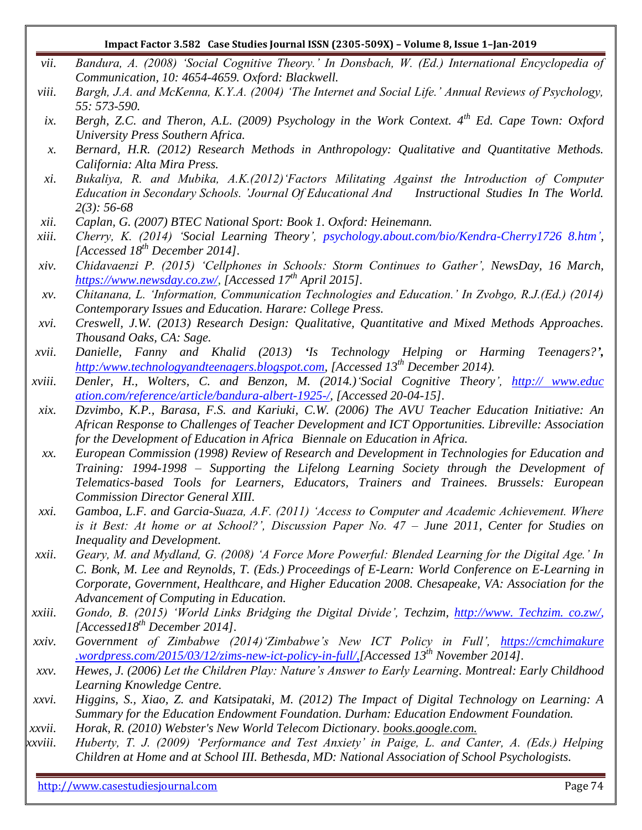- *vii. Bandura, A. (2008) "Social Cognitive Theory." In Donsbach, W. (Ed.) International Encyclopedia of Communication, 10: 4654-4659. Oxford: Blackwell.*
- *viii. Bargh, J.A. and McKenna, K.Y.A. (2004) "The Internet and Social Life." Annual Reviews of Psychology, 55: 573-590.*
- *ix. Bergh, Z.C. and Theron, A.L. (2009) Psychology in the Work Context. 4th Ed. Cape Town: Oxford University Press Southern Africa.*
- *x. Bernard, H.R. (2012) Research Methods in Anthropology: Qualitative and Quantitative Methods. California: Alta Mira Press.*
- *xi. Bukaliya, R. and Mubika, A.K.(2012)"Factors Militating Against the Introduction of Computer Education in Secondary Schools. "Journal Of Educational And Instructional Studies In The World. 2(3): 56-68*
- *xii. Caplan, G. (2007) BTEC National Sport: Book 1. Oxford: Heinemann.*
- *xiii. Cherry, K. (2014) "Social Learning Theory", [psychology.about.com/bio/Kendra-Cherry1726 8.htm"](http://psychology.about.com/bio/Kendra-Cherry-17268.htm), [Accessed 18th December 2014].*
- *xiv. Chidavaenzi P. (2015) "Cellphones in Schools: Storm Continues to Gather", NewsDay, 16 March, [https://www.newsday.co.zw/,](https://www.newsday.co.zw/) [Accessed 17th April 2015].*
- *xv. Chitanana, L. "Information, Communication Technologies and Education." In Zvobgo, R.J.(Ed.) (2014) Contemporary Issues and Education. Harare: College Press.*
- *xvi. Creswell, J.W. (2013) Research Design: Qualitative, Quantitative and Mixed Methods Approaches. Thousand Oaks, CA: Sage.*
- *xvii. Danielle, Fanny and Khalid (2013) 'Is Technology Helping or Harming Teenagers?', [http:/www.technologyandteenagers.blogspot.com,](http://technologyandteenagers.blogspot.com/) [Accessed 13th December 2014).*
- *xviii. Denler, H., Wolters, C. and Benzon, M. (2014.)"Social Cognitive Theory", http:// www.educ ation.com/reference/article/bandura-albert-1925-/, [Accessed 20-04-15].*
- *xix. Dzvimbo, K.P., Barasa, F.S. and Kariuki, C.W. (2006) The AVU Teacher Education Initiative: An African Response to Challenges of Teacher Development and ICT Opportunities. Libreville: Association for the Development of Education in Africa Biennale on Education in Africa.*
- *xx. European Commission (1998) Review of Research and Development in Technologies for Education and Training: 1994-1998 – Supporting the Lifelong Learning Society through the Development of Telematics-based Tools for Learners, Educators, Trainers and Trainees. Brussels: European Commission Director General XIII.*
- *xxi. Gamboa, L.F. and Garcia-Suaza, A.F. (2011) "Access to Computer and Academic Achievement. Where is it Best: At home or at School?", Discussion Paper No. 47 – June 2011, Center for Studies on Inequality and Development.*
- *xxii. Geary, M. and Mydland, G. (2008) "A Force More Powerful: Blended Learning for the Digital Age." In C. Bonk, M. Lee and Reynolds, T. (Eds.) Proceedings of E-Learn: World Conference on E-Learning in Corporate, Government, Healthcare, and Higher Education 2008. Chesapeake, VA: Association for the Advancement of Computing in Education.*
- *xxiii. Gondo, B. (2015) "World Links Bridging the Digital Divide", Techzim, http://www. Techzim. co.zw/, [Accessed18th December 2014].*
- *xxiv. Government of Zimbabwe (2014)"Zimbabwe"s New ICT Policy in Full", https://cmchimakure .wordpress.com/2015/03/12/zims-new-ict-policy-in-full/,[Accessed 13th November 2014].*
- *xxv. Hewes, J. (2006) Let the Children Play: Nature"s Answer to Early Learning. Montreal: Early Childhood Learning Knowledge Centre.*
- *xxvi. Higgins, S., Xiao, Z. and Katsipataki, M. (2012) The Impact of Digital Technology on Learning: A Summary for the Education Endowment Foundation. Durham: Education Endowment Foundation.*
- *xxvii. Horak, R. (2010) [Webster's New World Telecom Dictionary.](http://computer.yourdictionary.com/) books.google.com.*
- *xxviii. Huberty, T. J. (2009) "Performance and Test Anxiety" in Paige, L. and Canter, A. (Eds.) Helping Children at Home and at School III. Bethesda, MD: National Association of School Psychologists.*

http://www.casestudiesjournal.com **Page 74**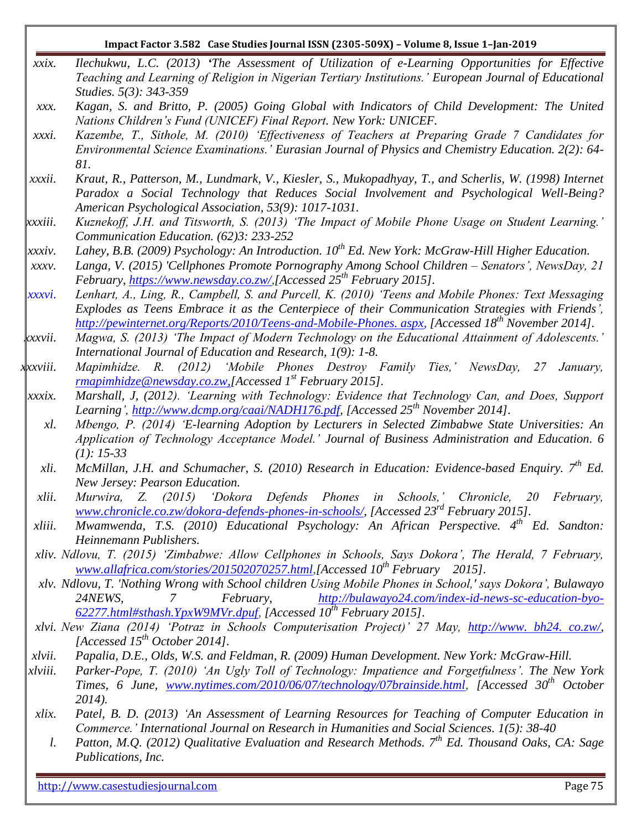| xxix.          | Ilechukwu, L.C. (2013) 'The Assessment of Utilization of e-Learning Opportunities for Effective                                                                                      |
|----------------|--------------------------------------------------------------------------------------------------------------------------------------------------------------------------------------|
|                | Teaching and Learning of Religion in Nigerian Tertiary Institutions.' European Journal of Educational                                                                                |
|                | Studies. 5(3): 343-359                                                                                                                                                               |
| XXX.           | Kagan, S. and Britto, P. (2005) Going Global with Indicators of Child Development: The United<br>Nations Children's Fund (UNICEF) Final Report. New York: UNICEF.                    |
| xxxi.          | Kazembe, T., Sithole, M. (2010) 'Effectiveness of Teachers at Preparing Grade 7 Candidates for                                                                                       |
|                | Environmental Science Examinations.' Eurasian Journal of Physics and Chemistry Education. 2(2): 64-                                                                                  |
|                | 81.                                                                                                                                                                                  |
| xxxii.         | Kraut, R., Patterson, M., Lundmark, V., Kiesler, S., Mukopadhyay, T., and Scherlis, W. (1998) Internet                                                                               |
|                | Paradox a Social Technology that Reduces Social Involvement and Psychological Well-Being?                                                                                            |
|                | American Psychological Association, 53(9): 1017-1031.                                                                                                                                |
| xxxiii.        | Kuznekoff, J.H. and Titsworth, S. (2013) 'The Impact of Mobile Phone Usage on Student Learning.'                                                                                     |
|                | Communication Education. (62)3: 233-252                                                                                                                                              |
| xxxiv.         | Lahey, B.B. (2009) Psychology: An Introduction. $10^{th}$ Ed. New York: McGraw-Hill Higher Education.                                                                                |
| $XXXV$ .       | Langa, V. (2015) 'Cellphones Promote Pornography Among School Children - Senators', NewsDay, 21                                                                                      |
|                | February, https://www.newsday.co.zw/JAccessed 25 <sup>th</sup> February 2015].                                                                                                       |
| xxxvi.         | Lenhart, A., Ling, R., Campbell, S. and Purcell, K. (2010) 'Teens and Mobile Phones: Text Messaging                                                                                  |
|                | Explodes as Teens Embrace it as the Centerpiece of their Communication Strategies with Friends',                                                                                     |
|                | http://pewinternet.org/Reports/2010/Teens-and-Mobile-Phones. aspx. [Accessed 18 <sup>th</sup> November 2014].                                                                        |
| .xxvii.        | Magwa, S. (2013) 'The Impact of Modern Technology on the Educational Attainment of Adolescents.'                                                                                     |
| xxxviii.       | International Journal of Education and Research, 1(9): 1-8.                                                                                                                          |
|                | Mapimhidze. R. (2012) 'Mobile Phones Destroy Family Ties,' NewsDay, 27<br>January,                                                                                                   |
| xxxix.         | $\frac{r}{r}$ mapimhidze@newsday.co.zw, [Accessed 1st February 2015].<br>Marshall, J, (2012). 'Learning with Technology: Evidence that Technology Can, and Does, Support             |
|                | Learning', http://www.dcmp.org/caai/NADH176.pdf, [Accessed 25 <sup>th</sup> November 2014].                                                                                          |
| $x$ <i>l</i> . | Mbengo, P. (2014) 'E-learning Adoption by Lecturers in Selected Zimbabwe State Universities: An                                                                                      |
|                | Application of Technology Acceptance Model.' Journal of Business Administration and Education. 6                                                                                     |
|                | $(1): 15-33$                                                                                                                                                                         |
| xli.           | McMillan, J.H. and Schumacher, S. (2010) Research in Education: Evidence-based Enquiry. 7 <sup>th</sup> Ed.                                                                          |
|                | New Jersey: Pearson Education.                                                                                                                                                       |
| xlii.          | Murwira, Z. (2015) 'Dokora Defends Phones in Schools,' Chronicle,<br>February,<br>20                                                                                                 |
|                | www.chronicle.co.zw/dokora-defends-phones-in-schools/, [Accessed 23 <sup>rd</sup> February 2015].                                                                                    |
| xliii.         | Mwamwenda, T.S. (2010) Educational Psychology: An African Perspective. 4 <sup>th</sup> Ed. Sandton:                                                                                  |
|                | Heinnemann Publishers.                                                                                                                                                               |
|                | xliv. Ndlovu, T. (2015) 'Zimbabwe: Allow Cellphones in Schools, Says Dokora', The Herald, 7 February,                                                                                |
|                | www.allafrica.com/stories/201502070257.html, [Accessed 10 <sup>th</sup> February 2015].                                                                                              |
|                | xlv. Ndlovu, T. 'Nothing Wrong with School children Using Mobile Phones in School,' says Dokora', Bulawayo                                                                           |
|                | http://bulawayo24.com/index-id-news-sc-education-byo-<br>February,<br>24NEWS,<br>7                                                                                                   |
|                | 62277.html#sthash.YpxW9MVr.dpuf, [Accessed 10 <sup>th</sup> February 2015].<br>xlvi. New Ziana (2014) 'Potraz in Schools Computerisation Project)' 27 May, http://www. bh24. co.zw/, |
|                | [Accessed 15 <sup>th</sup> October 2014].                                                                                                                                            |
| xlvii.         | Papalia, D.E., Olds, W.S. and Feldman, R. (2009) Human Development. New York: McGraw-Hill.                                                                                           |
| xlviii.        | Parker-Pope, T. (2010) 'An Ugly Toll of Technology: Impatience and Forgetfulness'. The New York                                                                                      |
| xlix.          | Times, 6 June, www.nytimes.com/2010/06/07/technology/07brainside.html, [Accessed 30 <sup>th</sup> October                                                                            |
|                | $2014$ ).                                                                                                                                                                            |
|                | Patel, B. D. (2013) 'An Assessment of Learning Resources for Teaching of Computer Education in                                                                                       |
|                | Commerce.' International Journal on Research in Humanities and Social Sciences. 1(5): 38-40                                                                                          |
|                | Patton M O (2012) Qualitative Evaluation and Research Methods $7th$ Ed Thousand Oaks CA: Sage                                                                                        |

http://www.casestudiesjournal.com entry and the state of the page 75

*l. Patton, M.Q. (2012) Qualitative Evaluation and Research Methods. 7th Ed. Thousand Oaks, CA: Sage Publications, Inc.*